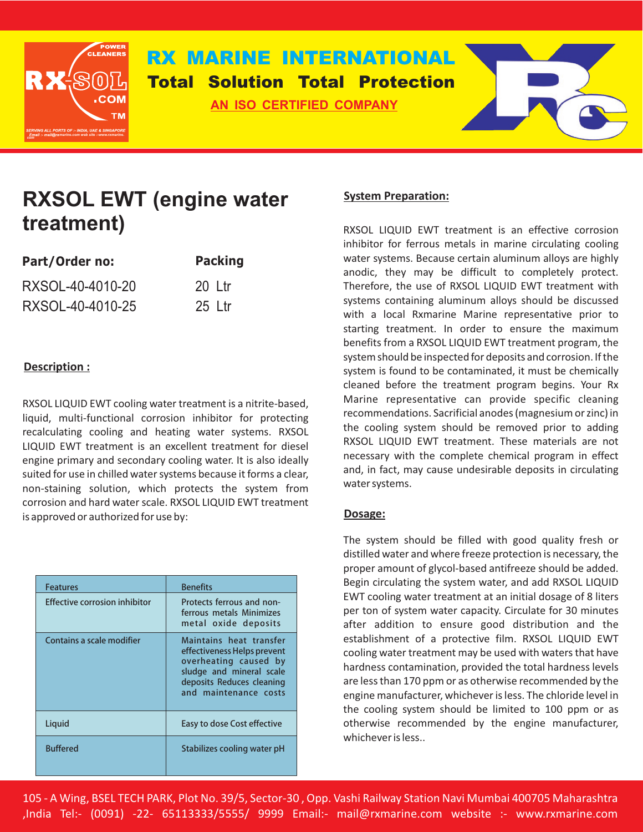

## **RX MARINE INTERNATIONAL Total Solution Total Protection**

**AN ISO CERTIFIED COMPANY**



# **RXSOL EWT (engine water treatment)**

| Part/Order no:   | <b>Packing</b> |
|------------------|----------------|
| RXSOL-40-4010-20 | 20 Ltr         |
| RXSOL-40-4010-25 | $25$ Ltr       |

### **Description :**

RXSOL LIQUID EWT cooling water treatment is a nitrite-based, liquid, multi-functional corrosion inhibitor for protecting recalculating cooling and heating water systems. RXSOL LIQUID EWT treatment is an excellent treatment for diesel engine primary and secondary cooling water. It is also ideally suited for use in chilled water systems because it forms a clear, non-staining solution, which protects the system from corrosion and hard water scale. RXSOL LIQUID EWT treatment is approved or authorized for use by:

| <b>Features</b>                      | <b>Benefits</b>                                                                                                                                                   |
|--------------------------------------|-------------------------------------------------------------------------------------------------------------------------------------------------------------------|
| <b>Effective corrosion inhibitor</b> | Protects ferrous and non-<br>ferrous metals Minimizes<br>metal oxide deposits                                                                                     |
| Contains a scale modifier            | Maintains heat transfer<br>effectiveness Helps prevent<br>overheating caused by<br>sludge and mineral scale<br>deposits Reduces cleaning<br>and maintenance costs |
| Liquid                               | Easy to dose Cost effective                                                                                                                                       |
| <b>Buffered</b>                      | Stabilizes cooling water pH                                                                                                                                       |

#### **System Preparation:**

RXSOL LIQUID EWT treatment is an effective corrosion inhibitor for ferrous metals in marine circulating cooling water systems. Because certain aluminum alloys are highly anodic, they may be difficult to completely protect. Therefore, the use of RXSOL LIQUID EWT treatment with systems containing aluminum alloys should be discussed with a local Rxmarine Marine representative prior to starting treatment. In order to ensure the maximum benefits from a RXSOL LIQUID EWT treatment program, the system should be inspected for deposits and corrosion. If the system is found to be contaminated, it must be chemically cleaned before the treatment program begins. Your Rx Marine representative can provide specific cleaning recommendations. Sacrificial anodes (magnesium or zinc) in the cooling system should be removed prior to adding RXSOL LIQUID EWT treatment. These materials are not necessary with the complete chemical program in effect and, in fact, may cause undesirable deposits in circulating water systems.

#### **Dosage:**

The system should be filled with good quality fresh or distilled water and where freeze protection is necessary, the proper amount of glycol-based antifreeze should be added. Begin circulating the system water, and add RXSOL LIQUID EWT cooling water treatment at an initial dosage of 8 liters per ton of system water capacity. Circulate for 30 minutes after addition to ensure good distribution and the establishment of a protective film. RXSOL LIQUID EWT cooling water treatment may be used with waters that have hardness contamination, provided the total hardness levels are less than 170 ppm or as otherwise recommended by the engine manufacturer, whichever is less. The chloride level in the cooling system should be limited to 100 ppm or as otherwise recommended by the engine manufacturer, whichever is less..

105 - A Wing, BSEL TECH PARK, Plot No. 39/5, Sector-30 , Opp. Vashi Railway Station Navi Mumbai 400705 Maharashtra ,India Tel:- (0091) -22- 65113333/5555/ 9999 Email:- mail@rxmarine.com website :- www.rxmarine.com